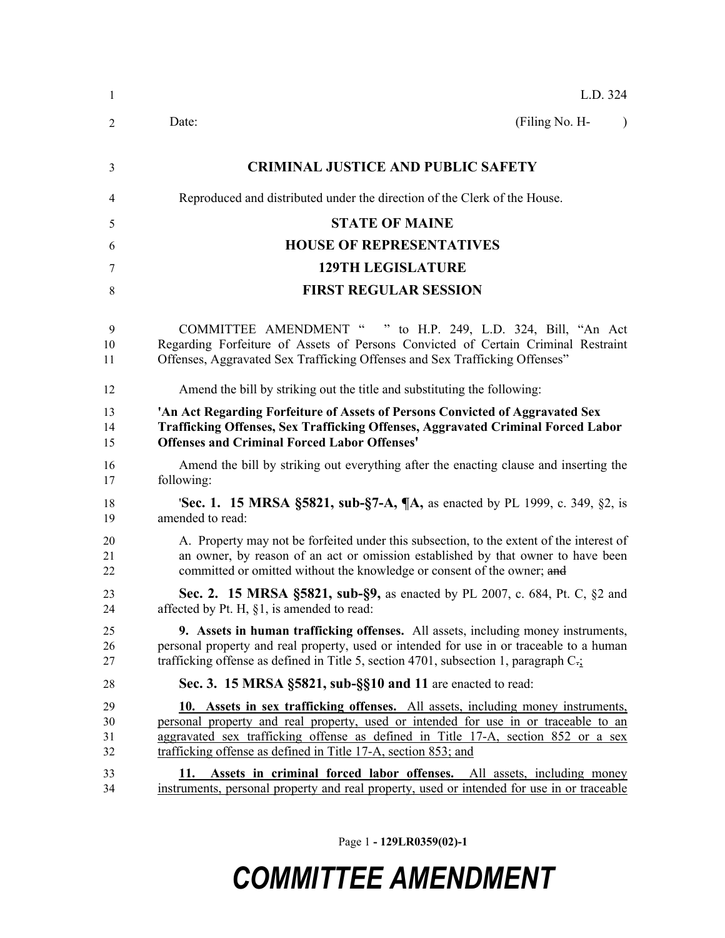| $\mathbf{1}$         | L.D. 324                                                                                                                                                                                                                                                                                                                       |
|----------------------|--------------------------------------------------------------------------------------------------------------------------------------------------------------------------------------------------------------------------------------------------------------------------------------------------------------------------------|
| $\overline{2}$       | (Filing No. H-<br>Date:<br>$\lambda$                                                                                                                                                                                                                                                                                           |
| 3                    | <b>CRIMINAL JUSTICE AND PUBLIC SAFETY</b>                                                                                                                                                                                                                                                                                      |
| 4                    | Reproduced and distributed under the direction of the Clerk of the House.                                                                                                                                                                                                                                                      |
| 5                    | <b>STATE OF MAINE</b>                                                                                                                                                                                                                                                                                                          |
| 6                    | <b>HOUSE OF REPRESENTATIVES</b>                                                                                                                                                                                                                                                                                                |
| 7                    | <b>129TH LEGISLATURE</b>                                                                                                                                                                                                                                                                                                       |
| 8                    | <b>FIRST REGULAR SESSION</b>                                                                                                                                                                                                                                                                                                   |
| 9<br>10<br>11        | COMMITTEE AMENDMENT " " to H.P. 249, L.D. 324, Bill, "An Act<br>Regarding Forfeiture of Assets of Persons Convicted of Certain Criminal Restraint<br>Offenses, Aggravated Sex Trafficking Offenses and Sex Trafficking Offenses"                                                                                               |
| 12                   | Amend the bill by striking out the title and substituting the following:                                                                                                                                                                                                                                                       |
| 13<br>14<br>15       | 'An Act Regarding Forfeiture of Assets of Persons Convicted of Aggravated Sex<br><b>Trafficking Offenses, Sex Trafficking Offenses, Aggravated Criminal Forced Labor</b><br><b>Offenses and Criminal Forced Labor Offenses'</b>                                                                                                |
| 16<br>17             | Amend the bill by striking out everything after the enacting clause and inserting the<br>following:                                                                                                                                                                                                                            |
| 18<br>19             | <b>'Sec. 1. 15 MRSA §5821, sub-§7-A, <math>\mathbb{I}</math>A</b> , as enacted by PL 1999, c. 349, §2, is<br>amended to read:                                                                                                                                                                                                  |
| 20<br>21<br>22       | A. Property may not be forfeited under this subsection, to the extent of the interest of<br>an owner, by reason of an act or omission established by that owner to have been<br>committed or omitted without the knowledge or consent of the owner; and                                                                        |
| 23<br>24             | <b>Sec. 2. 15 MRSA §5821, sub-§9, as enacted by PL 2007, c. 684, Pt. C, §2 and</b><br>affected by Pt. H, $\S1$ , is amended to read:                                                                                                                                                                                           |
| 25<br>26<br>27       | <b>9.</b> Assets in human trafficking offenses. All assets, including money instruments,<br>personal property and real property, used or intended for use in or traceable to a human<br>trafficking offense as defined in Title 5, section 4701, subsection 1, paragraph $C_{\tilde{t}}$ .                                     |
| 28                   | Sec. 3. 15 MRSA §5821, sub-§§10 and 11 are enacted to read:                                                                                                                                                                                                                                                                    |
| 29<br>30<br>31<br>32 | 10. Assets in sex trafficking offenses. All assets, including money instruments,<br>personal property and real property, used or intended for use in or traceable to an<br>aggravated sex trafficking offense as defined in Title 17-A, section 852 or a sex<br>trafficking offense as defined in Title 17-A, section 853; and |
| 33<br>34             | Assets in criminal forced labor offenses. All assets, including money<br>11.<br>instruments, personal property and real property, used or intended for use in or traceable                                                                                                                                                     |

Page 1 **- 129LR0359(02)-1**

## *COMMITTEE AMENDMENT*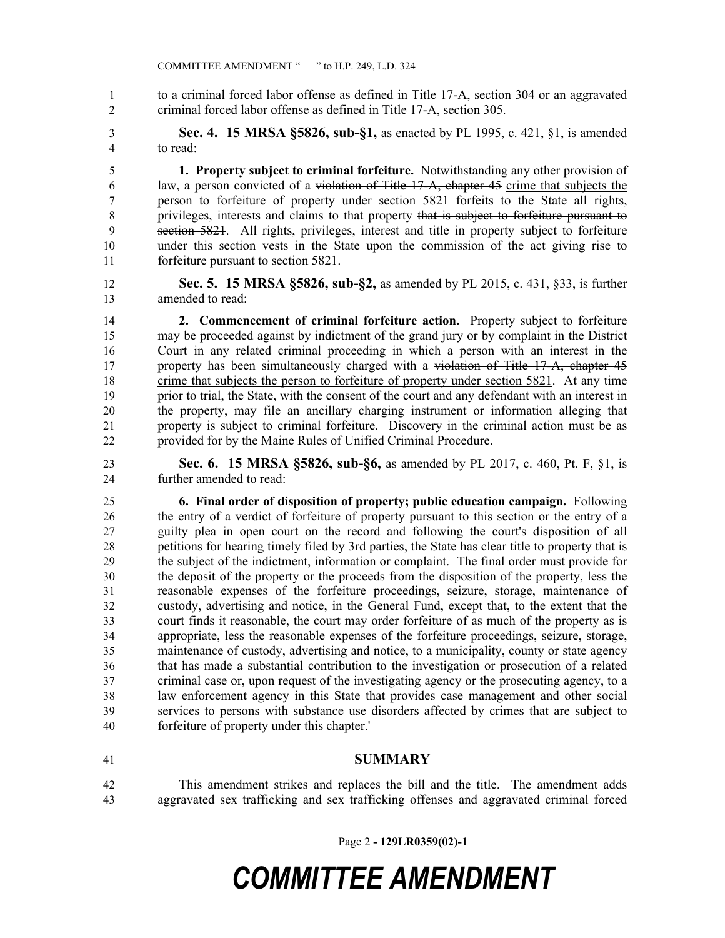1 to a criminal forced labor offense as defined in Title 17-A, section 304 or an aggravated criminal forced labor offense as defined in Title 17-A, section 305.

 **Sec. 4. 15 MRSA §5826, sub-§1,** as enacted by PL 1995, c. 421, §1, is amended to read:

 **1. Property subject to criminal forfeiture.** Notwithstanding any other provision of law, a person convicted of a violation of Title 17-A, chapter 45 crime that subjects the person to forfeiture of property under section 5821 forfeits to the State all rights, 8 privileges, interests and claims to that property that is subject to forfeiture pursuant to section 5821. All rights, privileges, interest and title in property subject to forfeiture under this section vests in the State upon the commission of the act giving rise to forfeiture pursuant to section 5821.

 **Sec. 5. 15 MRSA §5826, sub-§2,** as amended by PL 2015, c. 431, §33, is further amended to read:

 **2. Commencement of criminal forfeiture action.** Property subject to forfeiture may be proceeded against by indictment of the grand jury or by complaint in the District Court in any related criminal proceeding in which a person with an interest in the 17 property has been simultaneously charged with a violation of Title 17-A, chapter 45 crime that subjects the person to forfeiture of property under section 5821. At any time prior to trial, the State, with the consent of the court and any defendant with an interest in the property, may file an ancillary charging instrument or information alleging that property is subject to criminal forfeiture. Discovery in the criminal action must be as provided for by the Maine Rules of Unified Criminal Procedure.

 **Sec. 6. 15 MRSA §5826, sub-§6,** as amended by PL 2017, c. 460, Pt. F, §1, is further amended to read:

 **6. Final order of disposition of property; public education campaign.** Following the entry of a verdict of forfeiture of property pursuant to this section or the entry of a guilty plea in open court on the record and following the court's disposition of all petitions for hearing timely filed by 3rd parties, the State has clear title to property that is the subject of the indictment, information or complaint. The final order must provide for the deposit of the property or the proceeds from the disposition of the property, less the reasonable expenses of the forfeiture proceedings, seizure, storage, maintenance of custody, advertising and notice, in the General Fund, except that, to the extent that the court finds it reasonable, the court may order forfeiture of as much of the property as is appropriate, less the reasonable expenses of the forfeiture proceedings, seizure, storage, maintenance of custody, advertising and notice, to a municipality, county or state agency that has made a substantial contribution to the investigation or prosecution of a related criminal case or, upon request of the investigating agency or the prosecuting agency, to a law enforcement agency in this State that provides case management and other social services to persons with substance use disorders affected by crimes that are subject to forfeiture of property under this chapter.'

## **SUMMARY**

 This amendment strikes and replaces the bill and the title. The amendment adds aggravated sex trafficking and sex trafficking offenses and aggravated criminal forced

Page 2 **- 129LR0359(02)-1**

## *COMMITTEE AMENDMENT*